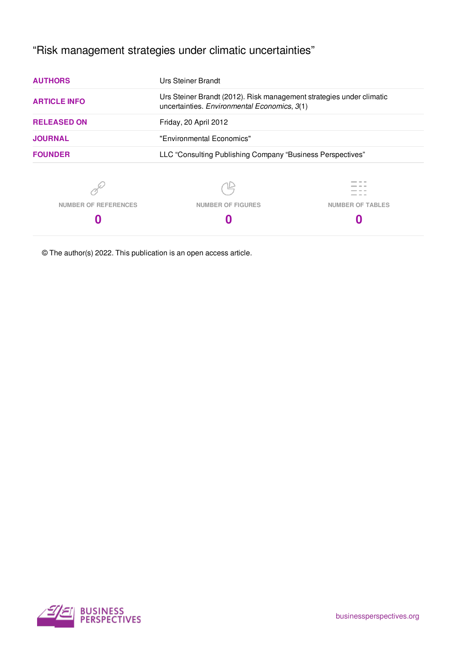# "Risk management strategies under climatic uncertainties"

| <b>AUTHORS</b>              | <b>Urs Steiner Brandt</b>                                                                                            |                         |  |  |
|-----------------------------|----------------------------------------------------------------------------------------------------------------------|-------------------------|--|--|
| <b>ARTICLE INFO</b>         | Urs Steiner Brandt (2012). Risk management strategies under climatic<br>uncertainties. Environmental Economics, 3(1) |                         |  |  |
| <b>RELEASED ON</b>          | Friday, 20 April 2012                                                                                                |                         |  |  |
| <b>JOURNAL</b>              | "Environmental Economics"                                                                                            |                         |  |  |
| <b>FOUNDER</b>              | LLC "Consulting Publishing Company "Business Perspectives"                                                           |                         |  |  |
|                             |                                                                                                                      |                         |  |  |
| <b>NUMBER OF REFERENCES</b> | <b>NUMBER OF FIGURES</b>                                                                                             | <b>NUMBER OF TABLES</b> |  |  |
|                             |                                                                                                                      |                         |  |  |

© The author(s) 2022. This publication is an open access article.

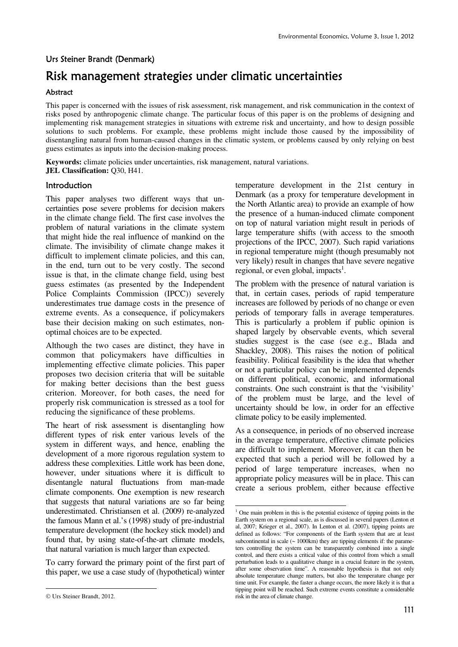## Urs Steiner Brandt (Denmark)

# Risk management strategies under climatic uncertainties

### Abstract

This paper is concerned with the issues of risk assessment, risk management, and risk communication in the context of risks posed by anthropogenic climate change. The particular focus of this paper is on the problems of designing and implementing risk management strategies in situations with extreme risk and uncertainty, and how to design possible solutions to such problems. For example, these problems might include those caused by the impossibility of disentangling natural from human-caused changes in the climatic system, or problems caused by only relying on best guess estimates as inputs into the decision-making process.

<u>.</u>

**Keywords:** climate policies under uncertainties, risk management, natural variations. **JEL Classification:** Q30, H41.

### **Introduction**

This paper analyses two different ways that uncertainties pose severe problems for decision makers in the climate change field. The first case involves the problem of natural variations in the climate system that might hide the real influence of mankind on the climate. The invisibility of climate change makes it difficult to implement climate policies, and this can, in the end, turn out to be very costly. The second issue is that, in the climate change field, using best guess estimates (as presented by the Independent Police Complaints Commission (IPCC)) severely underestimates true damage costs in the presence of extreme events. As a consequence, if policymakers base their decision making on such estimates, nonoptimal choices are to be expected.

Although the two cases are distinct, they have in common that policymakers have difficulties in implementing effective climate policies. This paper proposes two decision criteria that will be suitable for making better decisions than the best guess criterion. Moreover, for both cases, the need for properly risk communication is stressed as a tool for reducing the significance of these problems.

The heart of risk assessment is disentangling how different types of risk enter various levels of the system in different ways, and hence, enabling the development of a more rigorous regulation system to address these complexities. Little work has been done, however, under situations where it is difficult to disentangle natural fluctuations from man-made climate components. One exemption is new research that suggests that natural variations are so far being underestimated. Christiansen et al. (2009) re-analyzed the famous Mann et al.'s (1998) study of pre-industrial temperature development (the hockey stick model) and found that, by using state-of-the-art climate models, that natural variation is much larger than expected.

To carry forward the primary point of the first part of this paper, we use a case study of (hypothetical) winter

<u>.</u>

temperature development in the 21st century in Denmark (as a proxy for temperature development in the North Atlantic area) to provide an example of how the presence of a human-induced climate component on top of natural variation might result in periods of large temperature shifts (with access to the smooth projections of the IPCC, 2007). Such rapid variations in regional temperature might (though presumably not very likely) result in changes that have severe negative regional, or even global, impacts<sup>1</sup>.

The problem with the presence of natural variation is that, in certain cases, periods of rapid temperature increases are followed by periods of no change or even periods of temporary falls in average temperatures. This is particularly a problem if public opinion is shaped largely by observable events, which several studies suggest is the case (see e.g., Blada and Shackley, 2008). This raises the notion of political feasibility. Political feasibility is the idea that whether or not a particular policy can be implemented depends on different political, economic, and informational constraints. One such constraint is that the 'visibility' of the problem must be large, and the level of uncertainty should be low, in order for an effective climate policy to be easily implemented.

As a consequence, in periods of no observed increase in the average temperature, effective climate policies are difficult to implement. Moreover, it can then be expected that such a period will be followed by a period of large temperature increases, when no appropriate policy measures will be in place. This can create a serious problem, either because effective

<sup>©</sup> Urs Steiner Brandt, 2012.

<sup>&</sup>lt;sup>1</sup> One main problem in this is the potential existence of tipping points in the Earth system on a regional scale, as is discussed in several papers (Lenton et al, 2007; Krieger et al., 2007). In Lenton et al. (2007), tipping points are defined as follows: "For components of the Earth system that are at least subcontinental in scale (~ 1000km) they are tipping elements if: the parameters controlling the system can be transparently combined into a single control, and there exists a critical value of this control from which a small perturbation leads to a qualitative change in a crucial feature in the system, after some observation time". A reasonable hypothesis is that not only absolute temperature change matters, but also the temperature change per time unit. For example, the faster a change occurs, the more likely it is that a tipping point will be reached. Such extreme events constitute a considerable risk in the area of climate change.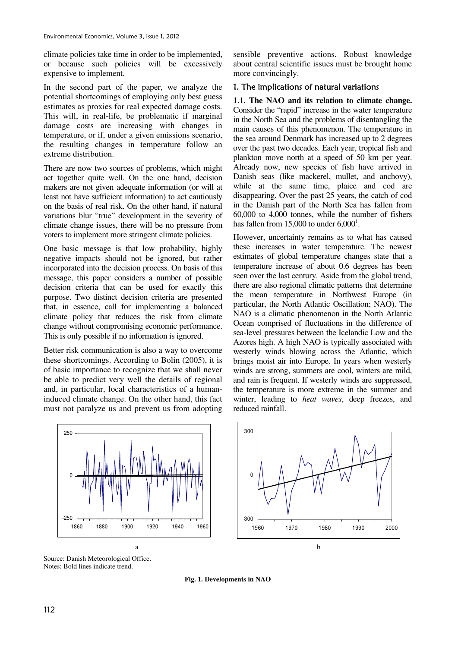climate policies take time in order to be implemented, or because such policies will be excessively expensive to implement.

In the second part of the paper, we analyze the potential shortcomings of employing only best guess estimates as proxies for real expected damage costs. This will, in real-life, be problematic if marginal damage costs are increasing with changes in temperature, or if, under a given emissions scenario, the resulting changes in temperature follow an extreme distribution.

There are now two sources of problems, which might act together quite well. On the one hand, decision makers are not given adequate information (or will at least not have sufficient information) to act cautiously on the basis of real risk. On the other hand, if natural variations blur "true" development in the severity of climate change issues, there will be no pressure from voters to implement more stringent climate policies.

One basic message is that low probability, highly negative impacts should not be ignored, but rather incorporated into the decision process. On basis of this message, this paper considers a number of possible decision criteria that can be used for exactly this purpose. Two distinct decision criteria are presented that, in essence, call for implementing a balanced climate policy that reduces the risk from climate change without compromising economic performance. This is only possible if no information is ignored.

Better risk communication is also a way to overcome these shortcomings. According to Bolin (2005), it is of basic importance to recognize that we shall never be able to predict very well the details of regional and, in particular, local characteristics of a humaninduced climate change. On the other hand, this fact must not paralyze us and prevent us from adopting



sensible preventive actions. Robust knowledge about central scientific issues must be brought home more convincingly.

#### 1. The implications of natural variations

**1.1. The NAO and its relation to climate change.**  Consider the "rapid" increase in the water temperature in the North Sea and the problems of disentangling the main causes of this phenomenon. The temperature in the sea around Denmark has increased up to 2 degrees over the past two decades. Each year, tropical fish and plankton move north at a speed of 50 km per year. Already now, new species of fish have arrived in Danish seas (like mackerel, mullet, and anchovy), while at the same time, plaice and cod are disappearing. Over the past 25 years, the catch of cod in the Danish part of the North Sea has fallen from 60,000 to 4,000 tonnes, while the number of fishers has fallen from  $15,000$  to under  $6,000<sup>1</sup>$ .

However, uncertainty remains as to what has caused these increases in water temperature. The newest estimates of global temperature changes state that a temperature increase of about 0.6 degrees has been seen over the last century. Aside from the global trend, there are also regional climatic patterns that determine the mean temperature in Northwest Europe (in particular, the North Atlantic Oscillation; NAO). The NAO is a climatic phenomenon in the North Atlantic Ocean comprised of fluctuations in the difference of sea-level pressures between the Icelandic Low and the Azores high. A high NAO is typically associated with westerly winds blowing across the Atlantic, which brings moist air into Europe. In years when westerly winds are strong, summers are cool, winters are mild, and rain is frequent. If westerly winds are suppressed, the temperature is more extreme in the summer and winter, leading to *heat waves*, deep freezes, and reduced rainfall.



Source: Danish Meteorological Office. Notes: Bold lines indicate trend.

**Fig. 1. Developments in NAO**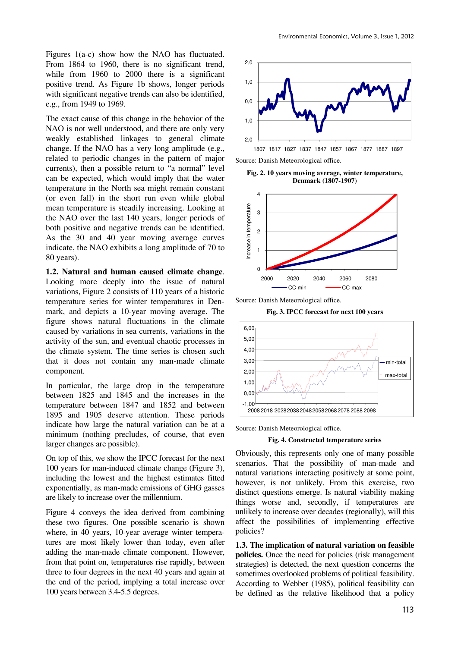Figures 1(a-c) show how the NAO has fluctuated. From 1864 to 1960, there is no significant trend, while from 1960 to 2000 there is a significant positive trend. As Figure 1b shows, longer periods with significant negative trends can also be identified, e.g., from 1949 to 1969.

The exact cause of this change in the behavior of the NAO is not well understood, and there are only very weakly established linkages to general climate change. If the NAO has a very long amplitude (e.g., related to periodic changes in the pattern of major currents), then a possible return to "a normal" level can be expected, which would imply that the water temperature in the North sea might remain constant (or even fall) in the short run even while global mean temperature is steadily increasing. Looking at the NAO over the last 140 years, longer periods of both positive and negative trends can be identified. As the 30 and 40 year moving average curves indicate, the NAO exhibits a long amplitude of 70 to 80 years).

**1.2. Natural and human caused climate change**. Looking more deeply into the issue of natural variations, Figure 2 consists of 110 years of a historic temperature series for winter temperatures in Denmark, and depicts a 10-year moving average. The figure shows natural fluctuations in the climate caused by variations in sea currents, variations in the activity of the sun, and eventual chaotic processes in the climate system. The time series is chosen such that it does not contain any man-made climate component*.*

In particular, the large drop in the temperature between 1825 and 1845 and the increases in the temperature between 1847 and 1852 and between 1895 and 1905 deserve attention. These periods indicate how large the natural variation can be at a minimum (nothing precludes, of course, that even larger changes are possible).

On top of this, we show the IPCC forecast for the next 100 years for man-induced climate change (Figure 3), including the lowest and the highest estimates fitted exponentially, as man-made emissions of GHG gasses are likely to increase over the millennium.

Figure 4 conveys the idea derived from combining these two figures. One possible scenario is shown where, in 40 years, 10-year average winter temperatures are most likely lower than today, even after adding the man-made climate component. However, from that point on, temperatures rise rapidly, between three to four degrees in the next 40 years and again at the end of the period, implying a total increase over 100 years between 3.4-5.5 degrees.





**Fig. 2. 10 years moving average, winter temperature, Denmark (1807-1907)** 



Source: Danish Meteorological office.

**Fig. 3. IPCC forecast for next 100 years** 



Source: Danish Meteorological office.

#### **Fig. 4. Constructed temperature series**

Obviously, this represents only one of many possible scenarios. That the possibility of man-made and natural variations interacting positively at some point, however, is not unlikely. From this exercise, two distinct questions emerge. Is natural viability making things worse and, secondly, if temperatures are unlikely to increase over decades (regionally), will this affect the possibilities of implementing effective policies?

**1.3. The implication of natural variation on feasible policies.** Once the need for policies (risk management strategies) is detected, the next question concerns the sometimes overlooked problems of political feasibility. According to Webber (1985), political feasibility can be defined as the relative likelihood that a policy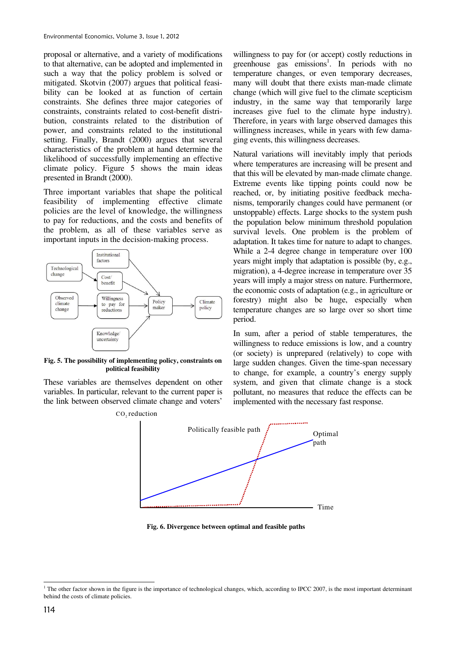proposal or alternative, and a variety of modifications to that alternative, can be adopted and implemented in such a way that the policy problem is solved or mitigated. Skotvin (2007) argues that political feasibility can be looked at as function of certain constraints. She defines three major categories of constraints, constraints related to cost-benefit distribution, constraints related to the distribution of power, and constraints related to the institutional setting. Finally, Brandt (2000) argues that several characteristics of the problem at hand determine the likelihood of successfully implementing an effective climate policy. Figure 5 shows the main ideas presented in Brandt (2000).

Three important variables that shape the political feasibility of implementing effective climate policies are the level of knowledge, the willingness to pay for reductions, and the costs and benefits of the problem, as all of these variables serve as important inputs in the decision-making process.



**Fig. 5. The possibility of implementing policy, constraints on political feasibility** 

These variables are themselves dependent on other variables. In particular, relevant to the current paper is the link between observed climate change and voters'

willingness to pay for (or accept) costly reductions in greenhouse gas emissions<sup>1</sup>. In periods with no temperature changes, or even temporary decreases, many will doubt that there exists man-made climate change (which will give fuel to the climate scepticism industry, in the same way that temporarily large increases give fuel to the climate hype industry). Therefore, in years with large observed damages this willingness increases, while in years with few damaging events, this willingness decreases.

Natural variations will inevitably imply that periods where temperatures are increasing will be present and that this will be elevated by man-made climate change. Extreme events like tipping points could now be reached, or, by initiating positive feedback mechanisms, temporarily changes could have permanent (or unstoppable) effects. Large shocks to the system push the population below minimum threshold population survival levels. One problem is the problem of adaptation. It takes time for nature to adapt to changes. While a 2-4 degree change in temperature over 100 years might imply that adaptation is possible (by, e.g., migration), a 4-degree increase in temperature over 35 years will imply a major stress on nature. Furthermore, the economic costs of adaptation (e.g., in agriculture or forestry) might also be huge, especially when temperature changes are so large over so short time period.

In sum, after a period of stable temperatures, the willingness to reduce emissions is low, and a country (or society) is unprepared (relatively) to cope with large sudden changes. Given the time-span necessary to change, for example, a country's energy supply system, and given that climate change is a stock pollutant, no measures that reduce the effects can be implemented with the necessary fast response.



**Fig. 6. Divergence between optimal and feasible paths <sup>1</sup>**

<sup>&</sup>lt;sup>1</sup> The other factor shown in the figure is the importance of technological changes, which, according to IPCC 2007, is the most important determinant behind the costs of climate policies.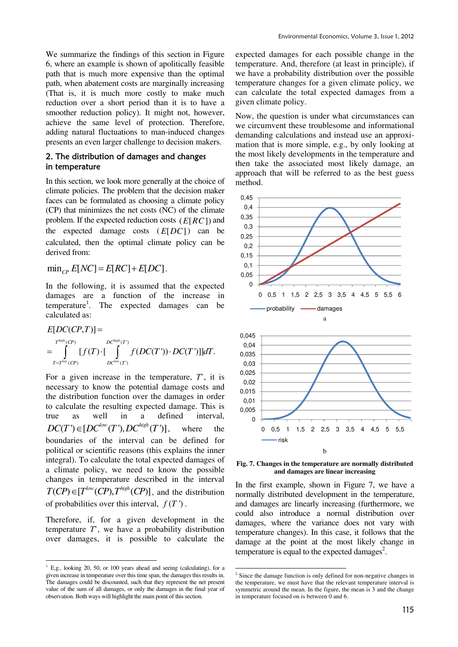We summarize the findings of this section in Figure 6, where an example is shown of apolitically feasible path that is much more expensive than the optimal path, when abatement costs are marginally increasing (That is, it is much more costly to make much reduction over a short period than it is to have a smoother reduction policy). It might not, however, achieve the same level of protection. Therefore, adding natural fluctuations to man-induced changes presents an even larger challenge to decision makers.

#### 2. The distribution of damages and changes in temperature

In this section, we look more generally at the choice of climate policies. The problem that the decision maker faces can be formulated as choosing a climate policy (CP) that minimizes the net costs (NC) of the climate problem. If the expected reduction costs  $(E[R C])$  and the expected damage costs  $(E[DC])$  can be calculated, then the optimal climate policy can be derived from:

 $\min_{CB} E[NC] = E[RC] + E[DC]$ .

In the following, it is assumed that the expected damages are a function of the increase in temperature<sup>1</sup>. The expected damages can be calculated as:

$$
E[DC(CP, T)] =
$$
  
= 
$$
\int_{T=T^{low}(CP)}^{T^{high}(CP)} [f(T) \cdot [\int_{DC^{low}(T)}^{DC^{high}(T)} f(DC(T')) \cdot DC(T')]] dT.
$$

For a given increase in the temperature, *T*', it is necessary to know the potential damage costs and the distribution function over the damages in order to calculate the resulting expected damage. This is true as well in a defined interval,  $DC(T') \in [DC^{low}(T'), DC^{high}(T')]$ , where the boundaries of the interval can be defined for political or scientific reasons (this explains the inner integral). To calculate the total expected damages of a climate policy, we need to know the possible changes in temperature described in the interval  $T(CP) \in [T^{low}(CP), T^{high}(CP)]$ , and the distribution of probabilities over this interval,  $f(T')$ .

Therefore, if, for a given development in the temperature *T*', we have a probability distribution over damages, it is possible to calculate the

-

expected damages for each possible change in the temperature. And, therefore (at least in principle), if we have a probability distribution over the possible temperature changes for a given climate policy, we can calculate the total expected damages from a given climate policy.

Now, the question is under what circumstances can we circumvent these troublesome and informational demanding calculations and instead use an approximation that is more simple, e.g., by only looking at the most likely developments in the temperature and then take the associated most likely damage, an approach that will be referred to as the best guess method.



**Fig. 7. Changes in the temperature are normally distributed and damages are linear increasing** 

In the first example, shown in Figure 7, we have a normally distributed development in the temperature, and damages are linearly increasing (furthermore, we could also introduce a normal distribution over damages, where the variance does not vary with temperature changes). In this case, it follows that the damage at the point at the most likely change in temperature is equal to the expected damages<sup>2</sup>.

 $1$  E.g., looking 20, 50, or 100 years ahead and seeing (calculating), for a given increase in temperature over this time span, the damages this results in. The damages could be discounted, such that they represent the net present value of the sum of all damages, or only the damages in the final year of observation. Both ways will highlight the main point of this section.

 2 Since the damage function is only defined for non-negative changes in the temperature, we must have that the relevant temperature interval is symmetric around the mean. In the figure, the mean is 3 and the change in temperature focused on is between 0 and 6.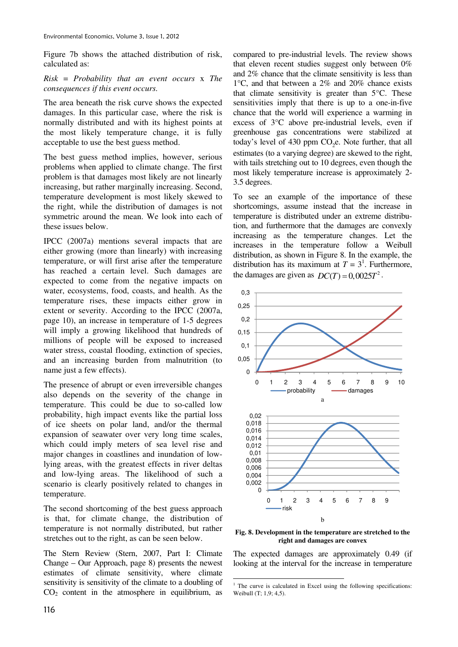Figure 7b shows the attached distribution of risk, calculated as:

#### *Risk* = *Probability that an event occurs* x *The consequences if this event occurs.*

The area beneath the risk curve shows the expected damages. In this particular case, where the risk is normally distributed and with its highest points at the most likely temperature change, it is fully acceptable to use the best guess method.

The best guess method implies, however, serious problems when applied to climate change. The first problem is that damages most likely are not linearly increasing, but rather marginally increasing. Second, temperature development is most likely skewed to the right, while the distribution of damages is not symmetric around the mean. We look into each of these issues below.

IPCC (2007a) mentions several impacts that are either growing (more than linearly) with increasing temperature, or will first arise after the temperature has reached a certain level. Such damages are expected to come from the negative impacts on water, ecosystems, food, coasts, and health. As the temperature rises, these impacts either grow in extent or severity. According to the IPCC (2007a, page 10), an increase in temperature of 1-5 degrees will imply a growing likelihood that hundreds of millions of people will be exposed to increased water stress, coastal flooding, extinction of species, and an increasing burden from malnutrition (to name just a few effects).

The presence of abrupt or even irreversible changes also depends on the severity of the change in temperature. This could be due to so-called low probability, high impact events like the partial loss of ice sheets on polar land, and/or the thermal expansion of seawater over very long time scales, which could imply meters of sea level rise and major changes in coastlines and inundation of lowlying areas, with the greatest effects in river deltas and low-lying areas. The likelihood of such a scenario is clearly positively related to changes in temperature.

The second shortcoming of the best guess approach is that, for climate change, the distribution of temperature is not normally distributed, but rather stretches out to the right, as can be seen below.

The Stern Review (Stern, 2007, Part I: Climate Change – Our Approach, page 8) presents the newest estimates of climate sensitivity, where climate sensitivity is sensitivity of the climate to a doubling of  $CO<sub>2</sub>$  content in the atmosphere in equilibrium, as

compared to pre-industrial levels. The review shows that eleven recent studies suggest only between 0% and 2% chance that the climate sensitivity is less than 1°C, and that between a 2% and 20% chance exists that climate sensitivity is greater than  $5^{\circ}$ C. These sensitivities imply that there is up to a one-in-five chance that the world will experience a warming in excess of 3°C above pre-industrial levels, even if greenhouse gas concentrations were stabilized at today's level of 430 ppm  $CO<sub>2</sub>e$ . Note further, that all estimates (to a varying degree) are skewed to the right, with tails stretching out to 10 degrees, even though the most likely temperature increase is approximately 2- 3.5 degrees.

To see an example of the importance of these shortcomings, assume instead that the increase in temperature is distributed under an extreme distribution, and furthermore that the damages are convexly increasing as the temperature changes. Let the increases in the temperature follow a Weibull distribution, as shown in Figure 8. In the example, the distribution has its maximum at  $T = 3<sup>1</sup>$ . Furthermore, the damages are given as  $DC(T) = 0.0025T^2$ .



**Fig. 8. Development in the temperature are stretched to the right and damages are convex** 

The expected damages are approximately 0.49 (if looking at the interval for the increase in temperature

The curve is calculated in Excel using the following specifications: Weibull (T; 1,9; 4,5).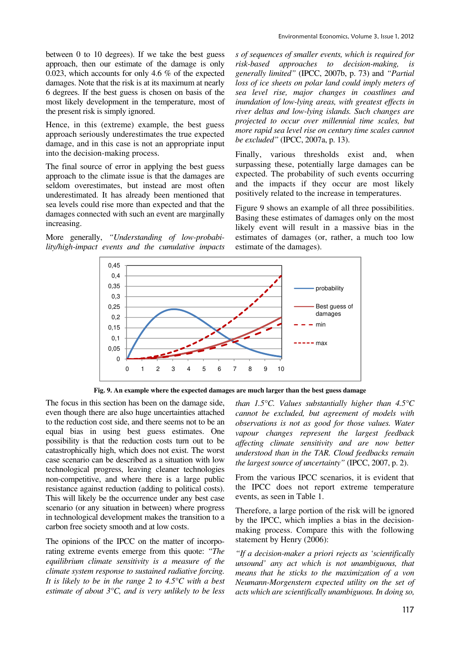Hence, in this (extreme) example, the best guess approach seriously underestimates the true expected damage, and in this case is not an appropriate input into the decision-making process.

The final source of error in applying the best guess approach to the climate issue is that the damages are seldom overestimates, but instead are most often underestimated. It has already been mentioned that sea levels could rise more than expected and that the damages connected with such an event are marginally increasing.

More generally, *"Understanding of low-probability/high-impact events and the cumulative impacts*  *s of sequences of smaller events, which is required for risk-based approaches to decision-making, is generally limited"* (IPCC, 2007b, p. 73) and *"Partial loss of ice sheets on polar land could imply meters of sea level rise, major changes in coastlines and inundation of low-lying areas, with greatest effects in river deltas and low-lying islands. Such changes are projected to occur over millennial time scales, but more rapid sea level rise on century time scales cannot be excluded"* (IPCC, 2007a, p. 13).

Finally, various thresholds exist and, when surpassing these, potentially large damages can be expected. The probability of such events occurring and the impacts if they occur are most likely positively related to the increase in temperatures.

Figure 9 shows an example of all three possibilities. Basing these estimates of damages only on the most likely event will result in a massive bias in the estimates of damages (or, rather, a much too low estimate of the damages).



**Fig. 9. An example where the expected damages are much larger than the best guess damage** 

The focus in this section has been on the damage side, even though there are also huge uncertainties attached to the reduction cost side, and there seems not to be an equal bias in using best guess estimates. One possibility is that the reduction costs turn out to be catastrophically high, which does not exist. The worst case scenario can be described as a situation with low technological progress, leaving cleaner technologies non-competitive, and where there is a large public resistance against reduction (adding to political costs). This will likely be the occurrence under any best case scenario (or any situation in between) where progress in technological development makes the transition to a carbon free society smooth and at low costs.

The opinions of the IPCC on the matter of incorporating extreme events emerge from this quote: *"The equilibrium climate sensitivity is a measure of the climate system response to sustained radiative forcing. It is likely to be in the range 2 to 4.5°C with a best estimate of about 3°C, and is very unlikely to be less* 

*than 1.5°C. Values substantially higher than 4.5°C cannot be excluded, but agreement of models with observations is not as good for those values. Water vapour changes represent the largest feedback affecting climate sensitivity and are now better understood than in the TAR. Cloud feedbacks remain the largest source of uncertainty"* (IPCC, 2007, p. 2).

From the various IPCC scenarios, it is evident that the IPCC does not report extreme temperature events, as seen in Table 1.

Therefore, a large portion of the risk will be ignored by the IPCC, which implies a bias in the decisionmaking process. Compare this with the following statement by Henry (2006):

*"If a decision-maker a priori rejects as 'scientifically unsound' any act which is not unambiguous, that means that he sticks to the maximization of a von Neumann-Morgenstern expected utility on the set of acts which are scientifically unambiguous. In doing so,*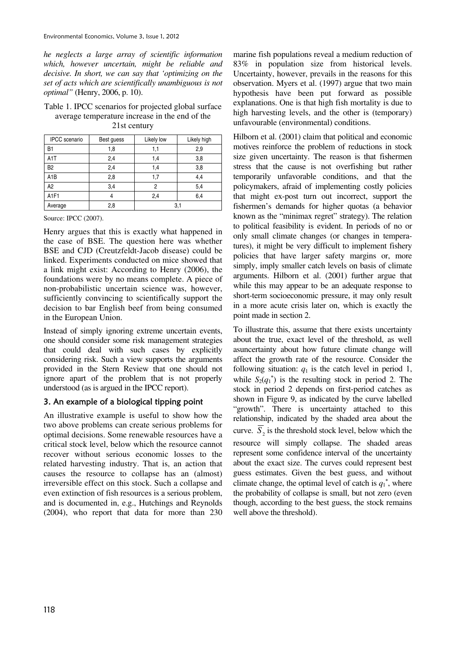*he neglects a large array of scientific information which, however uncertain, might be reliable and decisive. In short, we can say that 'optimizing on the set of acts which are scientifically unambiguous is not optimal"* (Henry, 2006, p. 10).

#### Table 1. IPCC scenarios for projected global surface average temperature increase in the end of the 21st century

| <b>IPCC</b> scenario | Best guess | Likely low | Likely high |
|----------------------|------------|------------|-------------|
| B <sub>1</sub>       | 1,8        | 1,1        | 2,9         |
| A <sub>1</sub> T     | 2,4        | 1,4        | 3,8         |
| B <sub>2</sub>       | 2,4        | 1,4        | 3,8         |
| A1B                  | 2,8        | 1,7        | 4,4         |
| A <sub>2</sub>       | 3,4        | 2          | 5,4         |
| A <sub>1F1</sub>     | 4          | 2,4        | 6,4         |
| Average              | 2,8        | 3,1        |             |

Source: IPCC (2007).

Henry argues that this is exactly what happened in the case of BSE. The question here was whether BSE and CJD (Creutzfeldt-Jacob disease) could be linked. Experiments conducted on mice showed that a link might exist: According to Henry (2006), the foundations were by no means complete. A piece of non-probabilistic uncertain science was, however, sufficiently convincing to scientifically support the decision to bar English beef from being consumed in the European Union.

Instead of simply ignoring extreme uncertain events, one should consider some risk management strategies that could deal with such cases by explicitly considering risk. Such a view supports the arguments provided in the Stern Review that one should not ignore apart of the problem that is not properly understood (as is argued in the IPCC report).

### 3. An example of a biological tipping point

An illustrative example is useful to show how the two above problems can create serious problems for optimal decisions. Some renewable resources have a critical stock level, below which the resource cannot recover without serious economic losses to the related harvesting industry. That is, an action that causes the resource to collapse has an (almost) irreversible effect on this stock. Such a collapse and even extinction of fish resources is a serious problem, and is documented in, e.g., Hutchings and Reynolds (2004), who report that data for more than 230 marine fish populations reveal a medium reduction of 83% in population size from historical levels. Uncertainty, however, prevails in the reasons for this observation. Myers et al. (1997) argue that two main hypothesis have been put forward as possible explanations. One is that high fish mortality is due to high harvesting levels, and the other is (temporary) unfavourable (environmental) conditions.

Hilborn et al. (2001) claim that political and economic motives reinforce the problem of reductions in stock size given uncertainty. The reason is that fishermen stress that the cause is not overfishing but rather temporarily unfavorable conditions, and that the policymakers, afraid of implementing costly policies that might ex-post turn out incorrect, support the fishermen's demands for higher quotas (a behavior known as the "minimax regret" strategy). The relation to political feasibility is evident. In periods of no or only small climate changes (or changes in temperatures), it might be very difficult to implement fishery policies that have larger safety margins or, more simply, imply smaller catch levels on basis of climate arguments. Hilborn et al. (2001) further argue that while this may appear to be an adequate response to short-term socioeconomic pressure, it may only result in a more acute crisis later on, which is exactly the point made in section 2.

To illustrate this, assume that there exists uncertainty about the true, exact level of the threshold, as well asuncertainty about how future climate change will affect the growth rate of the resource. Consider the following situation:  $q_1$  is the catch level in period 1, while  $S_2(q_1^*)$  is the resulting stock in period 2. The stock in period 2 depends on first-period catches as shown in Figure 9, as indicated by the curve labelled "growth". There is uncertainty attached to this relationship, indicated by the shaded area about the curve.  $S_2$  is the threshold stock level, below which the resource will simply collapse. The shaded areas represent some confidence interval of the uncertainty about the exact size. The curves could represent best guess estimates. Given the best guess, and without climate change, the optimal level of catch is  $q_1^*$ , where the probability of collapse is small, but not zero (even though, according to the best guess, the stock remains well above the threshold).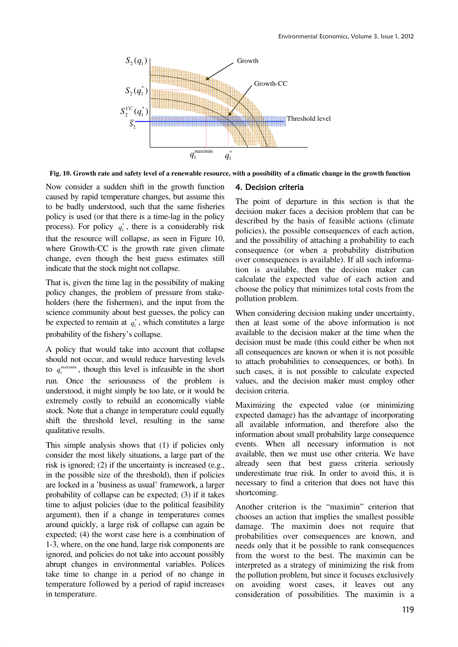

**Fig. 10. Growth rate and safety level of a renewable resource, with a possibility of a climatic change in the growth function** 

Now consider a sudden shift in the growth function caused by rapid temperature changes, but assume this to be badly understood, such that the same fisheries policy is used (or that there is a time-lag in the policy process). For policy  $q_1^*$ , there is a considerably risk that the resource will collapse, as seen in Figure 10, where Growth-CC is the growth rate given climate change, even though the best guess estimates still indicate that the stock might not collapse.

That is, given the time lag in the possibility of making policy changes, the problem of pressure from stakeholders (here the fishermen), and the input from the science community about best guesses, the policy can be expected to remain at  $q_1^*$ , which constitutes a large probability of the fishery's collapse.

A policy that would take into account that collapse should not occur, and would reduce harvesting levels to  $q_1^{\text{maximin}}$ , though this level is infeasible in the short run. Once the seriousness of the problem is understood, it might simply be too late, or it would be extremely costly to rebuild an economically viable stock. Note that a change in temperature could equally shift the threshold level, resulting in the same qualitative results.

This simple analysis shows that (1) if policies only consider the most likely situations, a large part of the risk is ignored; (2) if the uncertainty is increased (e.g., in the possible size of the threshold), then if policies are locked in a 'business as usual' framework, a larger probability of collapse can be expected; (3) if it takes time to adjust policies (due to the political feasibility argument), then if a change in temperatures comes around quickly, a large risk of collapse can again be expected; (4) the worst case here is a combination of 1-3, where, on the one hand, large risk components are ignored, and policies do not take into account possibly abrupt changes in environmental variables. Polices take time to change in a period of no change in temperature followed by a period of rapid increases in temperature.

#### 4. Decision criteria

The point of departure in this section is that the decision maker faces a decision problem that can be described by the basis of feasible actions (climate policies), the possible consequences of each action, and the possibility of attaching a probability to each consequence (or when a probability distribution over consequences is available). If all such information is available, then the decision maker can calculate the expected value of each action and choose the policy that minimizes total costs from the pollution problem.

When considering decision making under uncertainty, then at least some of the above information is not available to the decision maker at the time when the decision must be made (this could either be when not all consequences are known or when it is not possible to attach probabilities to consequences, or both). In such cases, it is not possible to calculate expected values, and the decision maker must employ other decision criteria.

Maximizing the expected value (or minimizing expected damage) has the advantage of incorporating all available information, and therefore also the information about small probability large consequence events. When all necessary information is not available, then we must use other criteria. We have already seen that best guess criteria seriously underestimate true risk. In order to avoid this, it is necessary to find a criterion that does not have this shortcoming.

Another criterion is the "maximin" criterion that chooses an action that implies the smallest possible damage. The maximin does not require that probabilities over consequences are known, and needs only that it be possible to rank consequences from the worst to the best. The maximin can be interpreted as a strategy of minimizing the risk from the pollution problem, but since it focuses exclusively on avoiding worst cases, it leaves out any consideration of possibilities. The maximin is a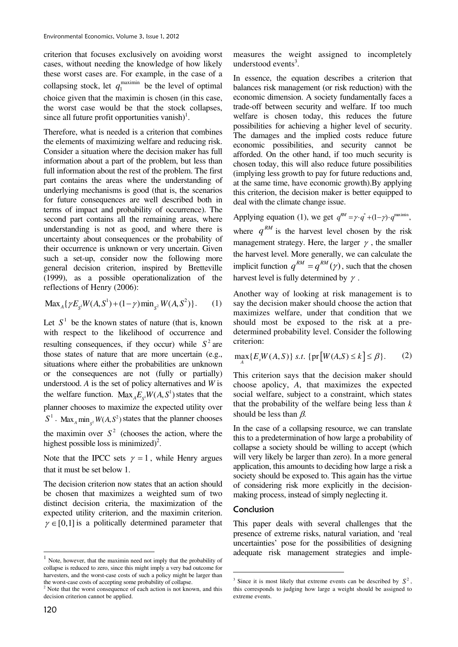criterion that focuses exclusively on avoiding worst cases, without needing the knowledge of how likely these worst cases are. For example, in the case of a collapsing stock, let  $q_1^{\text{maximin}}$  be the level of optimal choice given that the maximin is chosen (in this case, the worst case would be that the stock collapses, since all future profit opportunities vanish)<sup>1</sup>.

Therefore, what is needed is a criterion that combines the elements of maximizing welfare and reducing risk. Consider a situation where the decision maker has full information about a part of the problem, but less than full information about the rest of the problem. The first part contains the areas where the understanding of underlying mechanisms is good (that is, the scenarios for future consequences are well described both in terms of impact and probability of occurrence). The second part contains all the remaining areas, where understanding is not as good, and where there is uncertainty about consequences or the probability of their occurrence is unknown or very uncertain. Given such a set-up, consider now the following more general decision criterion, inspired by Bretteville (1999), as a possible operationalization of the reflections of Henry (2006):

$$
Max_A\{\gamma E_{S^1}W(A, S^1) + (1 - \gamma)\min_{S^2} W(A, S^2)\}.
$$
 (1)

Let  $S<sup>1</sup>$  be the known states of nature (that is, known with respect to the likelihood of occurrence and resulting consequences, if they occur) while  $S^2$  are those states of nature that are more uncertain (e.g., situations where either the probabilities are unknown or the consequences are not (fully or partially) understood. *A* is the set of policy alternatives and *W* is the welfare function.  $Max_{A}E_{S}W(A, S^{1})$  states that the planner chooses to maximize the expected utility over  $S^1$ .  $Max_A min_{S^2} W(A, S^2)$  states that the planner chooses the maximin over  $S<sup>2</sup>$  (chooses the action, where the

highest possible loss is minimized)<sup>2</sup>. Note that the IPCC sets  $\gamma = 1$ , while Henry argues

that it must be set below 1.

The decision criterion now states that an action should be chosen that maximizes a weighted sum of two distinct decision criteria, the maximization of the expected utility criterion, and the maximin criterion.  $\gamma \in [0,1]$  is a politically determined parameter that measures the weight assigned to incompletely understood events<sup>3</sup>.

In essence, the equation describes a criterion that balances risk management (or risk reduction) with the economic dimension. A society fundamentally faces a trade-off between security and welfare. If too much welfare is chosen today, this reduces the future possibilities for achieving a higher level of security. The damages and the implied costs reduce future economic possibilities, and security cannot be afforded. On the other hand, if too much security is chosen today, this will also reduce future possibilities (implying less growth to pay for future reductions and, at the same time, have economic growth).By applying this criterion, the decision maker is better equipped to deal with the climate change issue.

Applying equation (1), we get  $q^{RM} = \gamma \cdot q^* + (1-\gamma) \cdot q^{maximin}$ , where  $q^{RM}$  is the harvest level chosen by the risk management strategy. Here, the larger  $\gamma$ , the smaller the harvest level. More generally, we can calculate the implicit function  $q^{RM} = q^{RM}(\gamma)$ , such that the chosen harvest level is fully determined by  $\gamma$ .

Another way of looking at risk management is to say the decision maker should choose the action that maximizes welfare, under that condition that we should most be exposed to the risk at a predetermined probability level. Consider the following criterion:

$$
\max_{A} \{ E_s W(A, S) \} \text{ s.t. } \{ \text{pr} \big[ W(A, S) \le k \big] \le \beta \}. \tag{2}
$$

This criterion says that the decision maker should choose apolicy, *A*, that maximizes the expected social welfare, subject to a constraint, which states that the probability of the welfare being less than *k* should be less than  $\beta$ .

In the case of a collapsing resource, we can translate this to a predetermination of how large a probability of collapse a society should be willing to accept (which will very likely be larger than zero). In a more general application, this amounts to deciding how large a risk a society should be exposed to. This again has the virtue of considering risk more explicitly in the decisionmaking process, instead of simply neglecting it.

#### Conclusion

1

This paper deals with several challenges that the presence of extreme risks, natural variation, and 'real uncertainties' pose for the possibilities of designing adequate risk management strategies and imple-

 $\overline{a}$ 

<sup>1</sup> Note, however, that the maximin need not imply that the probability of collapse is reduced to zero, since this might imply a very bad outcome for harvesters, and the worst-case costs of such a policy might be larger than the worst-case costs of accepting some probability of collapse.

<sup>&</sup>lt;sup>2</sup> Note that the worst consequence of each action is not known, and this decision criterion cannot be applied.

<sup>&</sup>lt;sup>3</sup> Since it is most likely that extreme events can be described by  $S^2$ , this corresponds to judging how large a weight should be assigned to extreme events.